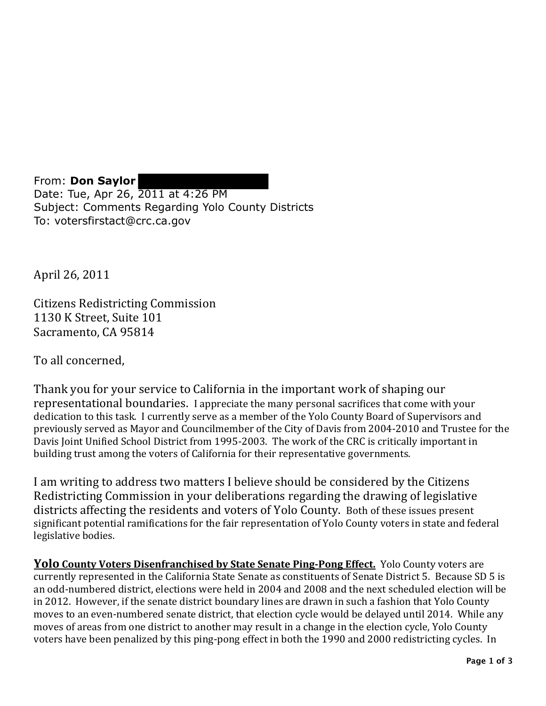From: **Don Saylor** Date: Tue, Apr 26, 2011 at 4:26 PM Subject: Comments Regarding Yolo County Districts To: votersfirstact@crc.ca.gov

April 26, 2011

Citizens Redistricting Commission 1130 K Street, Suite 101 Sacramento, CA 95814

To all concerned.

Thank you for your service to California in the important work of shaping our representational boundaries. I appreciate the many personal sacrifices that come with your dedication to this task. I currently serve as a member of the Yolo County Board of Supervisors and previously served as Mayor and Councilmember of the City of Davis from 2004-2010 and Trustee for the Davis Joint Unified School District from 1995-2003. The work of the CRC is critically important in building trust among the voters of California for their representative governments.

I am writing to address two matters I believe should be considered by the Citizens Redistricting Commission in your deliberations regarding the drawing of legislative districts affecting the residents and voters of Yolo County. Both of these issues present significant potential ramifications for the fair representation of Yolo County voters in state and federal legislative bodies.

**<u>Yolo County Voters Disenfranchised by State Senate Ping-Pong Effect.</u> Yolo County voters are** currently represented in the California State Senate as constituents of Senate District 5. Because SD 5 is an odd-numbered district, elections were held in 2004 and 2008 and the next scheduled election will be in 2012. However, if the senate district boundary lines are drawn in such a fashion that Yolo County moves to an even-numbered senate district, that election cycle would be delayed until 2014. While any moves of areas from one district to another may result in a change in the election cycle, Yolo County voters have been penalized by this ping-pong effect in both the 1990 and 2000 redistricting cycles. In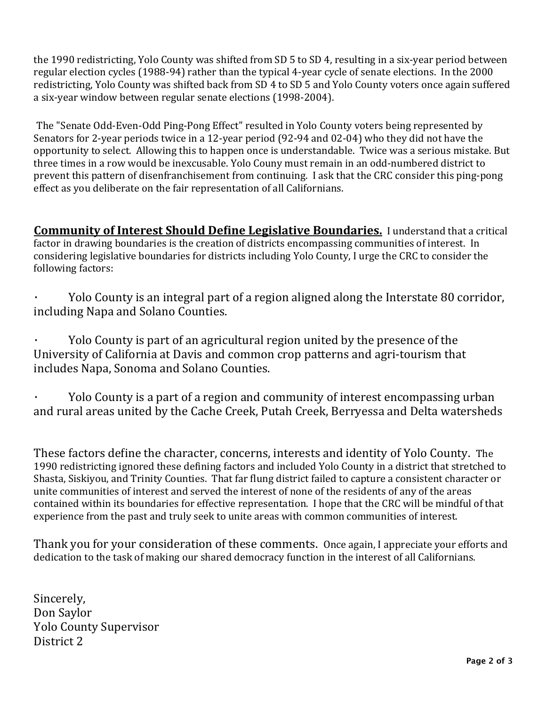the 1990 redistricting, Yolo County was shifted from SD 5 to SD 4, resulting in a six-year period between regular election cycles (1988-94) rather than the typical 4-year cycle of senate elections. In the 2000 redistricting, Yolo County was shifted back from SD 4 to SD 5 and Yolo County voters once again suffered a six-year window between regular senate elections (1998-2004).

The "Senate Odd-Even-Odd Ping-Pong Effect" resulted in Yolo County voters being represented by Senators for 2-year periods twice in a 12-year period (92-94 and 02-04) who they did not have the opportunity to select. Allowing this to happen once is understandable. Twice was a serious mistake. But three times in a row would be inexcusable. Yolo Couny must remain in an odd-numbered district to prevent this pattern of disenfranchisement from continuing. I ask that the CRC consider this ping-pong effect as you deliberate on the fair representation of all Californians.

**Community of Interest Should Define Legislative Boundaries.** I understand that a critical factor in drawing boundaries is the creation of districts encompassing communities of interest. In considering legislative boundaries for districts including Yolo County, I urge the CRC to consider the following factors:

Yolo County is an integral part of a region aligned along the Interstate 80 corridor, including Napa and Solano Counties.

Yolo County is part of an agricultural region united by the presence of the University of California at Davis and common crop patterns and agri-tourism that includes Napa, Sonoma and Solano Counties.

Yolo County is a part of a region and community of interest encompassing urban and rural areas united by the Cache Creek, Putah Creek, Berryessa and Delta watersheds

These factors define the character, concerns, interests and identity of Yolo County. The 1990 redistricting ignored these defining factors and included Yolo County in a district that stretched to Shasta, Siskiyou, and Trinity Counties. That far flung district failed to capture a consistent character or unite communities of interest and served the interest of none of the residents of any of the areas contained within its boundaries for effective representation. I hope that the CRC will be mindful of that experience from the past and truly seek to unite areas with common communities of interest.

Thank you for your consideration of these comments. Once again, I appreciate your efforts and dedication to the task of making our shared democracy function in the interest of all Californians.

Sincerely, Don Saylor Yolo County Supervisor District 2